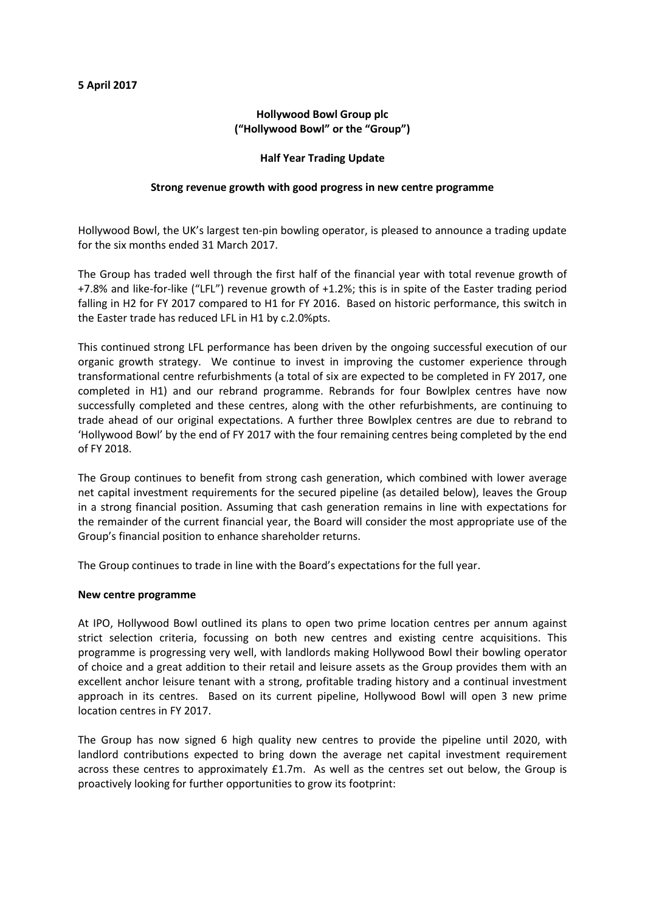# **Hollywood Bowl Group plc ("Hollywood Bowl" or the "Group")**

### **Half Year Trading Update**

## **Strong revenue growth with good progress in new centre programme**

Hollywood Bowl, the UK's largest ten-pin bowling operator, is pleased to announce a trading update for the six months ended 31 March 2017.

The Group has traded well through the first half of the financial year with total revenue growth of +7.8% and like-for-like ("LFL") revenue growth of +1.2%; this is in spite of the Easter trading period falling in H2 for FY 2017 compared to H1 for FY 2016. Based on historic performance, this switch in the Easter trade has reduced LFL in H1 by c.2.0%pts.

This continued strong LFL performance has been driven by the ongoing successful execution of our organic growth strategy. We continue to invest in improving the customer experience through transformational centre refurbishments (a total of six are expected to be completed in FY 2017, one completed in H1) and our rebrand programme. Rebrands for four Bowlplex centres have now successfully completed and these centres, along with the other refurbishments, are continuing to trade ahead of our original expectations. A further three Bowlplex centres are due to rebrand to 'Hollywood Bowl' by the end of FY 2017 with the four remaining centres being completed by the end of FY 2018.

The Group continues to benefit from strong cash generation, which combined with lower average net capital investment requirements for the secured pipeline (as detailed below), leaves the Group in a strong financial position. Assuming that cash generation remains in line with expectations for the remainder of the current financial year, the Board will consider the most appropriate use of the Group's financial position to enhance shareholder returns.

The Group continues to trade in line with the Board's expectations for the full year.

#### **New centre programme**

At IPO, Hollywood Bowl outlined its plans to open two prime location centres per annum against strict selection criteria, focussing on both new centres and existing centre acquisitions. This programme is progressing very well, with landlords making Hollywood Bowl their bowling operator of choice and a great addition to their retail and leisure assets as the Group provides them with an excellent anchor leisure tenant with a strong, profitable trading history and a continual investment approach in its centres. Based on its current pipeline, Hollywood Bowl will open 3 new prime location centres in FY 2017.

The Group has now signed 6 high quality new centres to provide the pipeline until 2020, with landlord contributions expected to bring down the average net capital investment requirement across these centres to approximately £1.7m. As well as the centres set out below, the Group is proactively looking for further opportunities to grow its footprint: